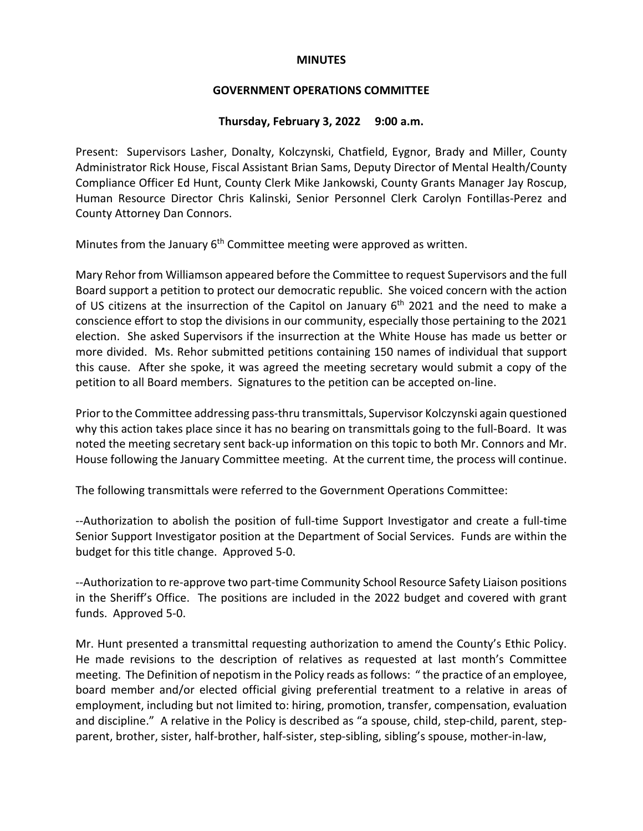#### **MINUTES**

## **GOVERNMENT OPERATIONS COMMITTEE**

### **Thursday, February 3, 2022 9:00 a.m.**

Present: Supervisors Lasher, Donalty, Kolczynski, Chatfield, Eygnor, Brady and Miller, County Administrator Rick House, Fiscal Assistant Brian Sams, Deputy Director of Mental Health/County Compliance Officer Ed Hunt, County Clerk Mike Jankowski, County Grants Manager Jay Roscup, Human Resource Director Chris Kalinski, Senior Personnel Clerk Carolyn Fontillas-Perez and County Attorney Dan Connors.

Minutes from the January 6<sup>th</sup> Committee meeting were approved as written.

Mary Rehor from Williamson appeared before the Committee to request Supervisors and the full Board support a petition to protect our democratic republic. She voiced concern with the action of US citizens at the insurrection of the Capitol on January 6<sup>th</sup> 2021 and the need to make a conscience effort to stop the divisions in our community, especially those pertaining to the 2021 election. She asked Supervisors if the insurrection at the White House has made us better or more divided. Ms. Rehor submitted petitions containing 150 names of individual that support this cause. After she spoke, it was agreed the meeting secretary would submit a copy of the petition to all Board members. Signatures to the petition can be accepted on-line.

Prior to the Committee addressing pass-thru transmittals, Supervisor Kolczynski again questioned why this action takes place since it has no bearing on transmittals going to the full-Board. It was noted the meeting secretary sent back-up information on this topic to both Mr. Connors and Mr. House following the January Committee meeting. At the current time, the process will continue.

The following transmittals were referred to the Government Operations Committee:

--Authorization to abolish the position of full-time Support Investigator and create a full-time Senior Support Investigator position at the Department of Social Services. Funds are within the budget for this title change. Approved 5-0.

--Authorization to re-approve two part-time Community School Resource Safety Liaison positions in the Sheriff's Office. The positions are included in the 2022 budget and covered with grant funds. Approved 5-0.

Mr. Hunt presented a transmittal requesting authorization to amend the County's Ethic Policy. He made revisions to the description of relatives as requested at last month's Committee meeting. The Definition of nepotism in the Policy reads as follows: " the practice of an employee, board member and/or elected official giving preferential treatment to a relative in areas of employment, including but not limited to: hiring, promotion, transfer, compensation, evaluation and discipline." A relative in the Policy is described as "a spouse, child, step-child, parent, stepparent, brother, sister, half-brother, half-sister, step-sibling, sibling's spouse, mother-in-law,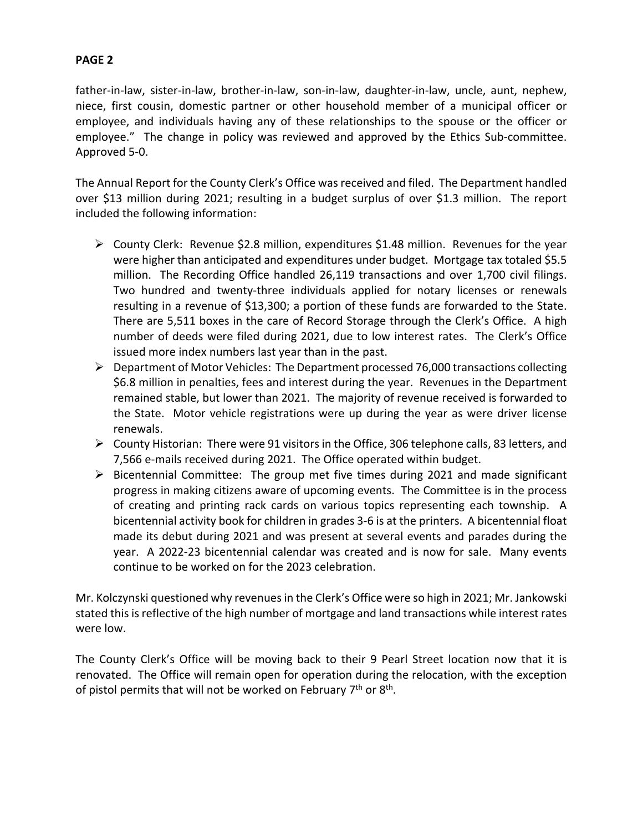# **PAGE 2**

father-in-law, sister-in-law, brother-in-law, son-in-law, daughter-in-law, uncle, aunt, nephew, niece, first cousin, domestic partner or other household member of a municipal officer or employee, and individuals having any of these relationships to the spouse or the officer or employee." The change in policy was reviewed and approved by the Ethics Sub-committee. Approved 5-0.

The Annual Report for the County Clerk's Office was received and filed. The Department handled over \$13 million during 2021; resulting in a budget surplus of over \$1.3 million. The report included the following information:

- $\triangleright$  County Clerk: Revenue \$2.8 million, expenditures \$1.48 million. Revenues for the year were higher than anticipated and expenditures under budget. Mortgage tax totaled \$5.5 million. The Recording Office handled 26,119 transactions and over 1,700 civil filings. Two hundred and twenty-three individuals applied for notary licenses or renewals resulting in a revenue of \$13,300; a portion of these funds are forwarded to the State. There are 5,511 boxes in the care of Record Storage through the Clerk's Office. A high number of deeds were filed during 2021, due to low interest rates. The Clerk's Office issued more index numbers last year than in the past.
- $\triangleright$  Department of Motor Vehicles: The Department processed 76,000 transactions collecting \$6.8 million in penalties, fees and interest during the year. Revenues in the Department remained stable, but lower than 2021. The majority of revenue received is forwarded to the State. Motor vehicle registrations were up during the year as were driver license renewals.
- $\triangleright$  County Historian: There were 91 visitors in the Office, 306 telephone calls, 83 letters, and 7,566 e-mails received during 2021. The Office operated within budget.
- $\triangleright$  Bicentennial Committee: The group met five times during 2021 and made significant progress in making citizens aware of upcoming events. The Committee is in the process of creating and printing rack cards on various topics representing each township. A bicentennial activity book for children in grades 3-6 is at the printers. A bicentennial float made its debut during 2021 and was present at several events and parades during the year. A 2022-23 bicentennial calendar was created and is now for sale. Many events continue to be worked on for the 2023 celebration.

Mr. Kolczynski questioned why revenues in the Clerk's Office were so high in 2021; Mr. Jankowski stated this is reflective of the high number of mortgage and land transactions while interest rates were low.

The County Clerk's Office will be moving back to their 9 Pearl Street location now that it is renovated. The Office will remain open for operation during the relocation, with the exception of pistol permits that will not be worked on February  $7<sup>th</sup>$  or  $8<sup>th</sup>$ .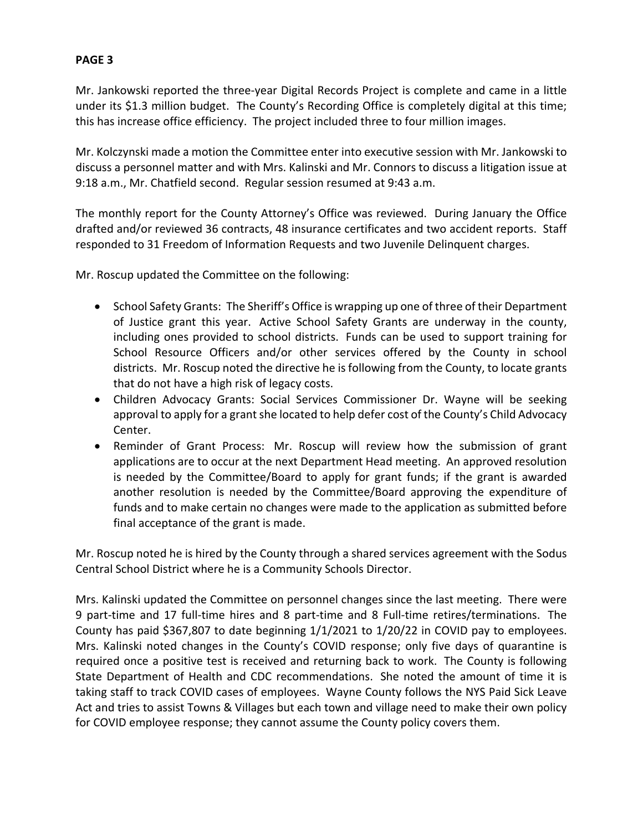# **PAGE 3**

Mr. Jankowski reported the three-year Digital Records Project is complete and came in a little under its \$1.3 million budget. The County's Recording Office is completely digital at this time; this has increase office efficiency. The project included three to four million images.

Mr. Kolczynski made a motion the Committee enter into executive session with Mr. Jankowski to discuss a personnel matter and with Mrs. Kalinski and Mr. Connors to discuss a litigation issue at 9:18 a.m., Mr. Chatfield second. Regular session resumed at 9:43 a.m.

The monthly report for the County Attorney's Office was reviewed. During January the Office drafted and/or reviewed 36 contracts, 48 insurance certificates and two accident reports. Staff responded to 31 Freedom of Information Requests and two Juvenile Delinquent charges.

Mr. Roscup updated the Committee on the following:

- School Safety Grants: The Sheriff's Office is wrapping up one of three of their Department of Justice grant this year. Active School Safety Grants are underway in the county, including ones provided to school districts. Funds can be used to support training for School Resource Officers and/or other services offered by the County in school districts. Mr. Roscup noted the directive he is following from the County, to locate grants that do not have a high risk of legacy costs.
- Children Advocacy Grants: Social Services Commissioner Dr. Wayne will be seeking approval to apply for a grant she located to help defer cost of the County's Child Advocacy Center.
- Reminder of Grant Process: Mr. Roscup will review how the submission of grant applications are to occur at the next Department Head meeting. An approved resolution is needed by the Committee/Board to apply for grant funds; if the grant is awarded another resolution is needed by the Committee/Board approving the expenditure of funds and to make certain no changes were made to the application as submitted before final acceptance of the grant is made.

Mr. Roscup noted he is hired by the County through a shared services agreement with the Sodus Central School District where he is a Community Schools Director.

Mrs. Kalinski updated the Committee on personnel changes since the last meeting. There were 9 part-time and 17 full-time hires and 8 part-time and 8 Full-time retires/terminations. The County has paid \$367,807 to date beginning 1/1/2021 to 1/20/22 in COVID pay to employees. Mrs. Kalinski noted changes in the County's COVID response; only five days of quarantine is required once a positive test is received and returning back to work. The County is following State Department of Health and CDC recommendations. She noted the amount of time it is taking staff to track COVID cases of employees. Wayne County follows the NYS Paid Sick Leave Act and tries to assist Towns & Villages but each town and village need to make their own policy for COVID employee response; they cannot assume the County policy covers them.